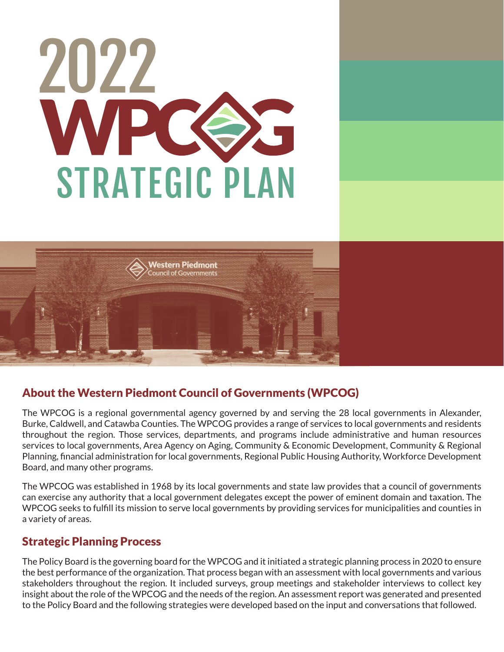



# About the Western Piedmont Council of Governments (WPCOG)

The WPCOG is a regional governmental agency governed by and serving the 28 local governments in Alexander, Burke, Caldwell, and Catawba Counties. The WPCOG provides a range of services to local governments and residents throughout the region. Those services, departments, and programs include administrative and human resources services to local governments, Area Agency on Aging, Community & Economic Development, Community & Regional Planning, financial administration for local governments, Regional Public Housing Authority, Workforce Development Board, and many other programs.

The WPCOG was established in 1968 by its local governments and state law provides that a council of governments can exercise any authority that a local government delegates except the power of eminent domain and taxation. The WPCOG seeks to fulfill its mission to serve local governments by providing services for municipalities and counties in a variety of areas.

# Strategic Planning Process

The Policy Board is the governing board for the WPCOG and it initiated a strategic planning process in 2020 to ensure the best performance of the organization. That process began with an assessment with local governments and various stakeholders throughout the region. It included surveys, group meetings and stakeholder interviews to collect key insight about the role of the WPCOG and the needs of the region. An assessment report was generated and presented to the Policy Board and the following strategies were developed based on the input and conversations that followed.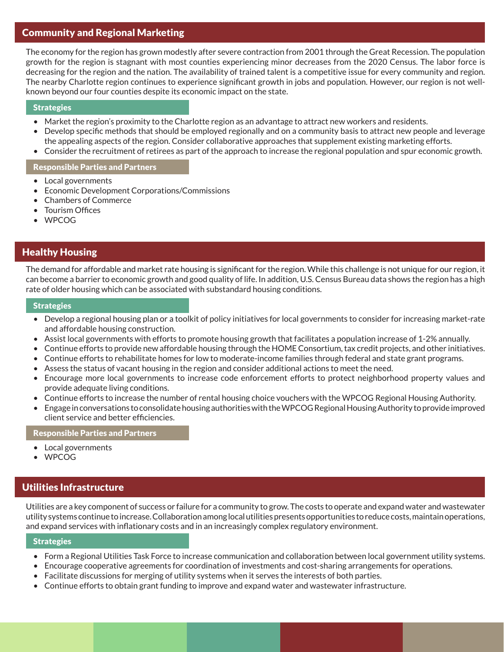# Community and Regional Marketing

The economy for the region has grown modestly after severe contraction from 2001 through the Great Recession. The population growth for the region is stagnant with most counties experiencing minor decreases from the 2020 Census. The labor force is decreasing for the region and the nation. The availability of trained talent is a competitive issue for every community and region. The nearby Charlotte region continues to experience significant growth in jobs and population. However, our region is not wellknown beyond our four counties despite its economic impact on the state.

### **Strategies**

- Market the region's proximity to the Charlotte region as an advantage to attract new workers and residents.
- Develop specific methods that should be employed regionally and on a community basis to attract new people and leverage the appealing aspects of the region. Consider collaborative approaches that supplement existing marketing efforts.
- Consider the recruitment of retirees as part of the approach to increase the regional population and spur economic growth.

### Responsible Parties and Partners

- Local governments
- Economic Development Corporations/Commissions
- Chambers of Commerce
- **Tourism Offices**
- WPCOG

# Healthy Housing

The demand for affordable and market rate housing is significant for the region. While this challenge is not unique for our region, it can become a barrier to economic growth and good quality of life. In addition, U.S. Census Bureau data shows the region has a high rate of older housing which can be associated with substandard housing conditions.

### **Strategies**

- Develop a regional housing plan or a toolkit of policy initiatives for local governments to consider for increasing market-rate and affordable housing construction.
- Assist local governments with efforts to promote housing growth that facilitates a population increase of 1-2% annually.
- Continue efforts to provide new affordable housing through the HOME Consortium, tax credit projects, and other initiatives.
- Continue efforts to rehabilitate homes for low to moderate-income families through federal and state grant programs.
- Assess the status of vacant housing in the region and consider additional actions to meet the need.
- Encourage more local governments to increase code enforcement efforts to protect neighborhood property values and provide adequate living conditions.
- Continue efforts to increase the number of rental housing choice vouchers with the WPCOG Regional Housing Authority.
- Engage in conversations to consolidate housing authorities with the WPCOG Regional Housing Authority to provide improved client service and better efficiencies.

### Responsible Parties and Partners

- Local governments
- WPCOG

# Utilities Infrastructure

Utilities are a key component of success or failure for a community to grow. The costs to operate and expand water and wastewater utility systems continue to increase. Collaboration among local utilities presents opportunities to reduce costs, maintain operations, and expand services with inflationary costs and in an increasingly complex regulatory environment.

### **Strategies**

- Form a Regional Utilities Task Force to increase communication and collaboration between local government utility systems.
- Encourage cooperative agreements for coordination of investments and cost-sharing arrangements for operations.
- Facilitate discussions for merging of utility systems when it serves the interests of both parties.
- Continue efforts to obtain grant funding to improve and expand water and wastewater infrastructure.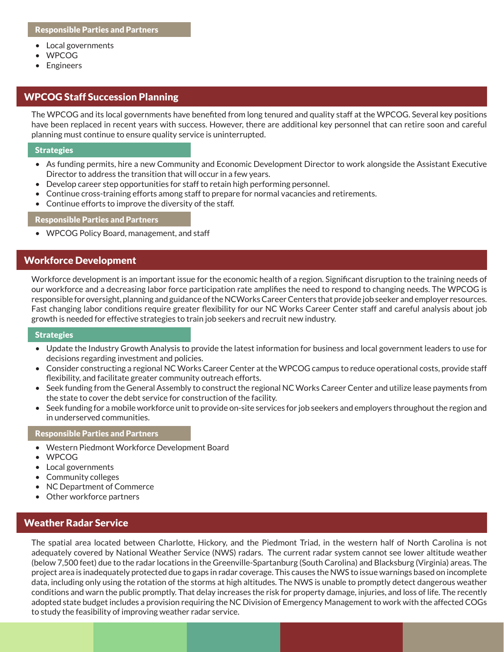- Local governments
- WPCOG
- Engineers

# WPCOG Staff Succession Planning

The WPCOG and its local governments have benefited from long tenured and quality staff at the WPCOG. Several key positions have been replaced in recent years with success. However, there are additional key personnel that can retire soon and careful planning must continue to ensure quality service is uninterrupted.

#### **Strategies**

- As funding permits, hire a new Community and Economic Development Director to work alongside the Assistant Executive Director to address the transition that will occur in a few years.
- Develop career step opportunities for staff to retain high performing personnel.
- Continue cross-training efforts among staff to prepare for normal vacancies and retirements.
- Continue efforts to improve the diversity of the staff.

#### Responsible Parties and Partners

• WPCOG Policy Board, management, and staff

## Workforce Development

Workforce development is an important issue for the economic health of a region. Significant disruption to the training needs of our workforce and a decreasing labor force participation rate amplifies the need to respond to changing needs. The WPCOG is responsible for oversight, planning and guidance of the NCWorks Career Centers that provide job seeker and employer resources. Fast changing labor conditions require greater flexibility for our NC Works Career Center staff and careful analysis about job growth is needed for effective strategies to train job seekers and recruit new industry.

#### **Strategies**

- Update the Industry Growth Analysis to provide the latest information for business and local government leaders to use for decisions regarding investment and policies.
- Consider constructing a regional NC Works Career Center at the WPCOG campus to reduce operational costs, provide staff flexibility, and facilitate greater community outreach efforts.
- Seek funding from the General Assembly to construct the regional NC Works Career Center and utilize lease payments from the state to cover the debt service for construction of the facility.
- Seek funding for a mobile workforce unit to provide on-site services for job seekers and employers throughout the region and in underserved communities.

#### Responsible Parties and Partners

- Western Piedmont Workforce Development Board
- WPCOG
- Local governments
- Community colleges
- NC Department of Commerce
- Other workforce partners

### Weather Radar Service

The spatial area located between Charlotte, Hickory, and the Piedmont Triad, in the western half of North Carolina is not adequately covered by National Weather Service (NWS) radars. The current radar system cannot see lower altitude weather (below 7,500 feet) due to the radar locations in the Greenville-Spartanburg (South Carolina) and Blacksburg (Virginia) areas. The project area is inadequately protected due to gaps in radar coverage. This causes the NWS to issue warnings based on incomplete data, including only using the rotation of the storms at high altitudes. The NWS is unable to promptly detect dangerous weather conditions and warn the public promptly. That delay increases the risk for property damage, injuries, and loss of life. The recently adopted state budget includes a provision requiring the NC Division of Emergency Management to work with the affected COGs to study the feasibility of improving weather radar service.